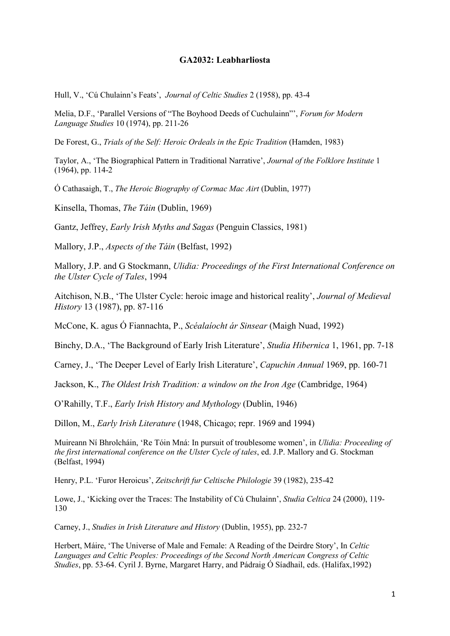## **GA2032: Leabharliosta**

Hull, V., 'Cú Chulainn's Feats', *Journal of Celtic Studies* 2 (1958), pp. 43-4

Melia, D.F., 'Parallel Versions of "The Boyhood Deeds of Cuchulainn"', *Forum for Modern Language Studies* 10 (1974), pp. 211-26

De Forest, G., *Trials of the Self: Heroic Ordeals in the Epic Tradition* (Hamden, 1983)

Taylor, A., 'The Biographical Pattern in Traditional Narrative', *Journal of the Folklore Institute* 1 (1964), pp. 114-2

Ó Cathasaigh, T., *The Heroic Biography of Cormac Mac Airt* (Dublin, 1977)

Kinsella, Thomas, *The Táin* (Dublin, 1969)

Gantz, Jeffrey, *Early Irish Myths and Sagas* (Penguin Classics, 1981)

Mallory, J.P., *Aspects of the Táin* (Belfast, 1992)

Mallory, J.P. and G Stockmann, *Ulidia: Proceedings of the First International Conference on the Ulster Cycle of Tales*, 1994

Aitchison, N.B., 'The Ulster Cycle: heroic image and historical reality', *Journal of Medieval History* 13 (1987), pp. 87-116

McCone, K. agus Ó Fiannachta, P., *Scéalaíocht ár Sinsear* (Maigh Nuad, 1992)

Binchy, D.A., 'The Background of Early Irish Literature', *Studia Hibernica* 1, 1961, pp. 7-18

Carney, J., 'The Deeper Level of Early Irish Literature', *Capuchin Annual* 1969, pp. 160-71

Jackson, K., *The Oldest Irish Tradition: a window on the Iron Age* (Cambridge, 1964)

O'Rahilly, T.F., *Early Irish History and Mythology* (Dublin, 1946)

Dillon, M., *Early Irish Literature* (1948, Chicago; repr. 1969 and 1994)

Muireann Ní Bhrolcháin, 'Re Tóin Mná: In pursuit of troublesome women', in *Ulidia: Proceeding of the first international conference on the Ulster Cycle of tales*, ed. J.P. Mallory and G. Stockman (Belfast, 1994)

Henry, P.L. 'Furor Heroicus', *Zeitschrift fur Celtische Philologie* 39 (1982), 235-42

Lowe, J., 'Kicking over the Traces: The Instability of Cú Chulainn', *Studia Celtica* 24 (2000), 119- 130

Carney, J., *Studies in Irish Literature and History* (Dublin, 1955), pp. 232-7

Herbert, Máire, 'The Universe of Male and Female: A Reading of the Deirdre Story', In *Celtic Languages and Celtic Peoples: Proceedings of the Second North American Congress of Celtic Studies*, pp. 53-64. Cyril J. Byrne, Margaret Harry, and Pádraig Ó Síadhail, eds. (Halifax,1992)